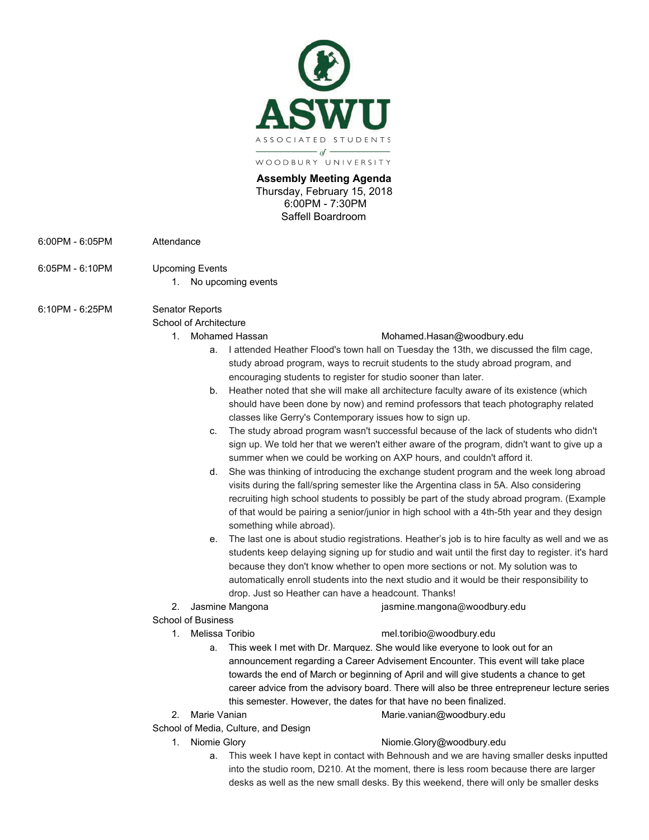

WOODBURY UNIVERSITY

**Assembly Meeting Agenda**  Thursday, February 15, 2018 6:00PM - 7:30PM Saffell Boardroom

- 6:00PM 6:05PM Attendance
- 6:05PM 6:10PM Upcoming Events
	- 1. No upcoming events

# 6:10PM - 6:25PM Senator Reports

- School of Architecture
	-

## 1. Mohamed Hassan Mohamed.Hasan@woodbury.edu

- a. I attended Heather Flood's town hall on Tuesday the 13th, we discussed the film cage, study abroad program, ways to recruit students to the study abroad program, and encouraging students to register for studio sooner than later.
- b. Heather noted that she will make all architecture faculty aware of its existence (which should have been done by now) and remind professors that teach photography related classes like Gerry's Contemporary issues how to sign up.
- c. The study abroad program wasn't successful because of the lack of students who didn't sign up. We told her that we weren't either aware of the program, didn't want to give up a summer when we could be working on AXP hours, and couldn't afford it.
- d. She was thinking of introducing the exchange student program and the week long abroad visits during the fall/spring semester like the Argentina class in 5A. Also considering recruiting high school students to possibly be part of the study abroad program. (Example of that would be pairing a senior/junior in high school with a 4th-5th year and they design something while abroad).
- e. The last one is about studio registrations. Heather's job is to hire faculty as well and we as students keep delaying signing up for studio and wait until the first day to register. it's hard because they don't know whether to open more sections or not. My solution was to automatically enroll students into the next studio and it would be their responsibility to drop. Just so Heather can have a headcount. Thanks!
- 2. Jasmine Mangona jasmine.mangona@woodbury.edu

# School of Business

#### 1. Melissa Toribio mel.toribio@woodbury.edu

- a. This week I met with Dr. Marquez. She would like everyone to look out for an announcement regarding a Career Advisement Encounter. This event will take place towards the end of March or beginning of April and will give students a chance to get career advice from the advisory board. There will also be three entrepreneur lecture series this semester. However, the dates for that have no been finalized.
- 2. Marie Vanian Marie.vanian@woodbury.edu

School of Media, Culture, and Design

# 1. Niomie Glory **Niomie.Glory@woodbury.edu**

a. This week I have kept in contact with Behnoush and we are having smaller desks inputted into the studio room, D210. At the moment, there is less room because there are larger desks as well as the new small desks. By this weekend, there will only be smaller desks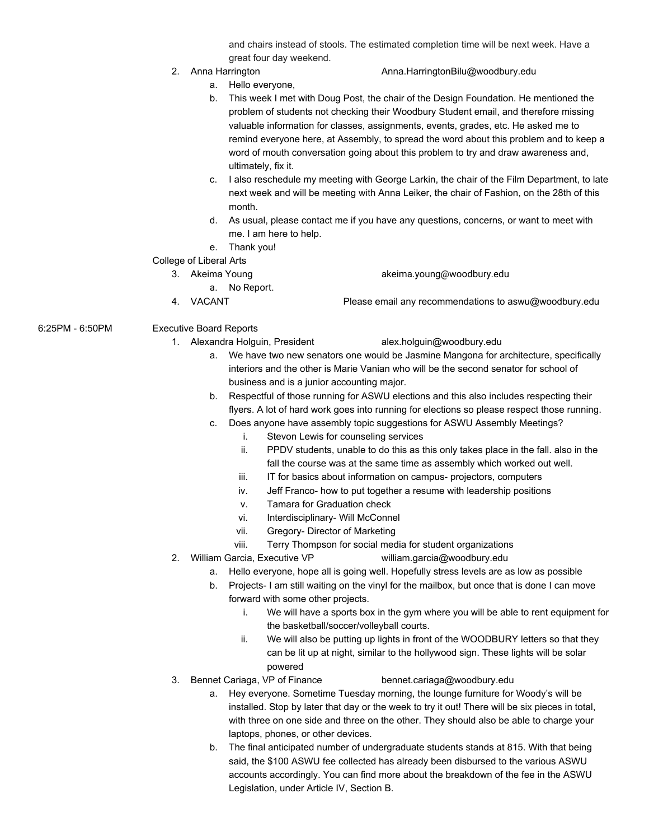and chairs instead of stools. The estimated completion time will be next week. Have a great four day weekend.

## 2. Anna Harrington **Anna.HarringtonBilu@woodbury.edu**

- a. Hello everyone,
- b. This week I met with Doug Post, the chair of the Design Foundation. He mentioned the problem of students not checking their Woodbury Student email, and therefore missing valuable information for classes, assignments, events, grades, etc. He asked me to remind everyone here, at Assembly, to spread the word about this problem and to keep a word of mouth conversation going about this problem to try and draw awareness and, ultimately, fix it.
- c. I also reschedule my meeting with George Larkin, the chair of the Film Department, to late next week and will be meeting with Anna Leiker, the chair of Fashion, on the 28th of this month.
- d. As usual, please contact me if you have any questions, concerns, or want to meet with me. I am here to help.
- e. Thank you!
- College of Liberal Arts
	- 3. Akeima Young akeima.young@woodbury.edu
		- a. No Report.
	-

4. VACANT Please email any recommendations to aswu@woodbury.edu

- 6:25PM 6:50PM Executive Board Reports
	- 1. Alexandra Holguin, President alex.holguin@woodbury.edu
		- a. We have two new senators one would be Jasmine Mangona for architecture, specifically interiors and the other is Marie Vanian who will be the second senator for school of business and is a junior accounting major.
		- b. Respectful of those running for ASWU elections and this also includes respecting their flyers. A lot of hard work goes into running for elections so please respect those running.
		- c. Does anyone have assembly topic suggestions for ASWU Assembly Meetings?
			- i. Stevon Lewis for counseling services
			- ii. PPDV students, unable to do this as this only takes place in the fall. also in the fall the course was at the same time as assembly which worked out well.
			- iii. IT for basics about information on campus- projectors, computers
			- iv. Jeff Franco- how to put together a resume with leadership positions
			- v. Tamara for Graduation check
			- vi. Interdisciplinary- Will McConnel
			- vii. Gregory- Director of Marketing
			- viii. Terry Thompson for social media for student organizations
	- 2. William Garcia, Executive VP william.garcia@woodbury.edu
		- a. Hello everyone, hope all is going well. Hopefully stress levels are as low as possible
		- b. Projects- I am still waiting on the vinyl for the mailbox, but once that is done I can move forward with some other projects.
			- i. We will have a sports box in the gym where you will be able to rent equipment for the basketball/soccer/volleyball courts.
			- ii. We will also be putting up lights in front of the WOODBURY letters so that they can be lit up at night, similar to the hollywood sign. These lights will be solar powered
	- 3. Bennet Cariaga, VP of Finance bennet.cariaga@woodbury.edu
		- a. Hey everyone. Sometime Tuesday morning, the lounge furniture for Woody's will be installed. Stop by later that day or the week to try it out! There will be six pieces in total, with three on one side and three on the other. They should also be able to charge your laptops, phones, or other devices.
		- b. The final anticipated number of undergraduate students stands at 815. With that being said, the \$100 ASWU fee collected has already been disbursed to the various ASWU accounts accordingly. You can find more about the breakdown of the fee in the ASWU Legislation, under Article IV, Section B.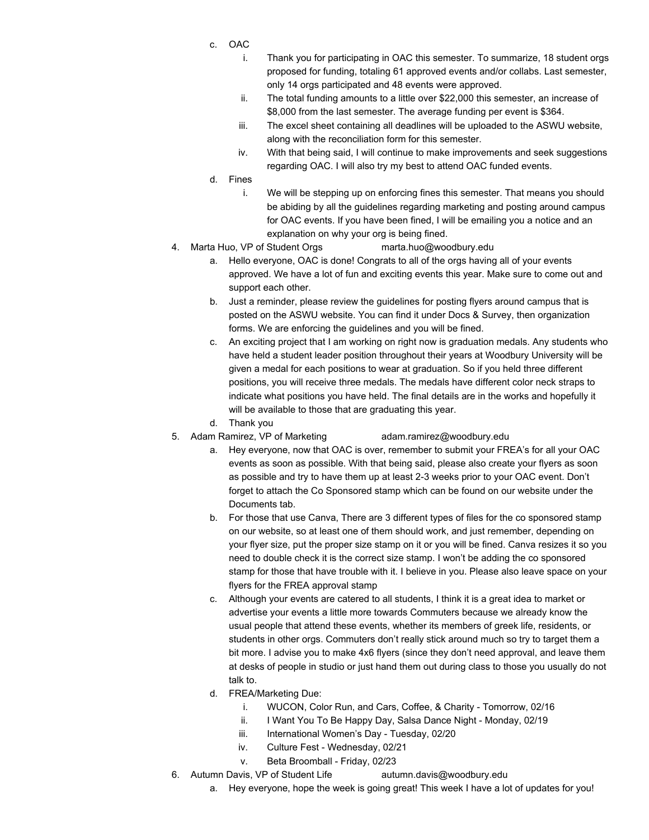- c. OAC
	- i. Thank you for participating in OAC this semester. To summarize, 18 student orgs proposed for funding, totaling 61 approved events and/or collabs. Last semester, only 14 orgs participated and 48 events were approved.
	- ii. The total funding amounts to a little over \$22,000 this semester, an increase of \$8,000 from the last semester. The average funding per event is \$364.
	- iii. The excel sheet containing all deadlines will be uploaded to the ASWU website, along with the reconciliation form for this semester.
	- iv. With that being said, I will continue to make improvements and seek suggestions regarding OAC. I will also try my best to attend OAC funded events.

d. Fines

- i. We will be stepping up on enforcing fines this semester. That means you should be abiding by all the guidelines regarding marketing and posting around campus for OAC events. If you have been fined, I will be emailing you a notice and an explanation on why your org is being fined.
- 4. Marta Huo, VP of Student Orgs marta.huo@woodbury.edu
	- a. Hello everyone, OAC is done! Congrats to all of the orgs having all of your events approved. We have a lot of fun and exciting events this year. Make sure to come out and support each other.
	- b. Just a reminder, please review the guidelines for posting flyers around campus that is posted on the ASWU website. You can find it under Docs & Survey, then organization forms. We are enforcing the guidelines and you will be fined.
	- c. An exciting project that I am working on right now is graduation medals. Any students who have held a student leader position throughout their years at Woodbury University will be given a medal for each positions to wear at graduation. So if you held three different positions, you will receive three medals. The medals have different color neck straps to indicate what positions you have held. The final details are in the works and hopefully it will be available to those that are graduating this year.
	- d. Thank you
- 5. Adam Ramirez, VP of Marketing adam.ramirez@woodbury.edu
	- a. Hey everyone, now that OAC is over, remember to submit your FREA's for all your OAC events as soon as possible. With that being said, please also create your flyers as soon as possible and try to have them up at least 2-3 weeks prior to your OAC event. Don't forget to attach the Co Sponsored stamp which can be found on our website under the Documents tab.
	- b. For those that use Canva, There are 3 different types of files for the co sponsored stamp on our website, so at least one of them should work, and just remember, depending on your flyer size, put the proper size stamp on it or you will be fined. Canva resizes it so you need to double check it is the correct size stamp. I won't be adding the co sponsored stamp for those that have trouble with it. I believe in you. Please also leave space on your flyers for the FREA approval stamp
	- c. Although your events are catered to all students, I think it is a great idea to market or advertise your events a little more towards Commuters because we already know the usual people that attend these events, whether its members of greek life, residents, or students in other orgs. Commuters don't really stick around much so try to target them a bit more. I advise you to make 4x6 flyers (since they don't need approval, and leave them at desks of people in studio or just hand them out during class to those you usually do not talk to.
	- d. FREA/Marketing Due:
		- i. WUCON, Color Run, and Cars, Coffee, & Charity Tomorrow, 02/16
		- ii. I Want You To Be Happy Day, Salsa Dance Night Monday, 02/19
		- iii. International Women's Day Tuesday, 02/20
		- iv. Culture Fest Wednesday, 02/21
		- v. Beta Broomball Friday, 02/23
- 6. Autumn Davis, VP of Student Life autumn.davis@woodbury.edu
	- a. Hey everyone, hope the week is going great! This week I have a lot of updates for you!